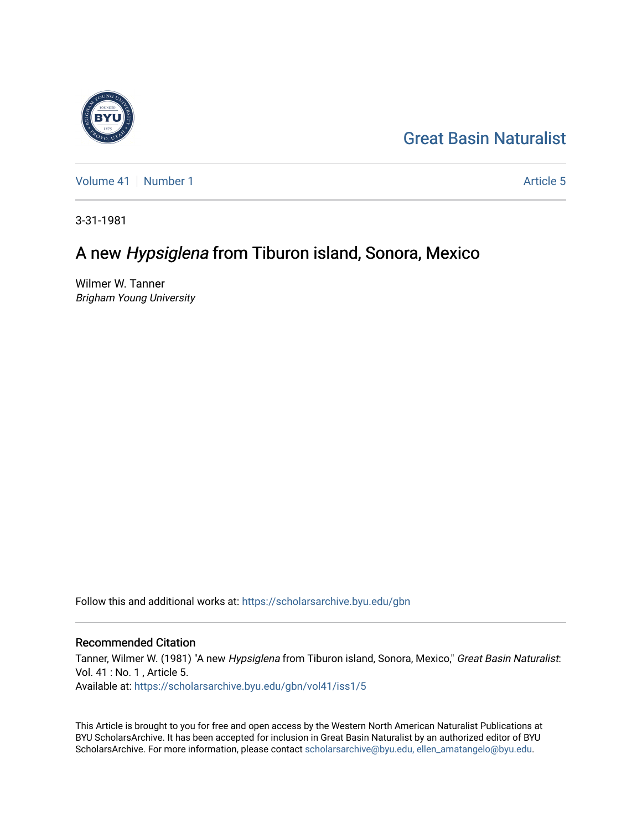

[Great Basin Naturalist](https://scholarsarchive.byu.edu/gbn) 

[Volume 41](https://scholarsarchive.byu.edu/gbn/vol41) [Number 1](https://scholarsarchive.byu.edu/gbn/vol41/iss1) Article 5

3-31-1981

# A new Hypsiglena from Tiburon island, Sonora, Mexico

Wilmer W. Tanner Brigham Young University

Follow this and additional works at: [https://scholarsarchive.byu.edu/gbn](https://scholarsarchive.byu.edu/gbn?utm_source=scholarsarchive.byu.edu%2Fgbn%2Fvol41%2Fiss1%2F5&utm_medium=PDF&utm_campaign=PDFCoverPages) 

# Recommended Citation

Tanner, Wilmer W. (1981) "A new Hypsiglena from Tiburon island, Sonora, Mexico," Great Basin Naturalist: Vol. 41 : No. 1 , Article 5. Available at: [https://scholarsarchive.byu.edu/gbn/vol41/iss1/5](https://scholarsarchive.byu.edu/gbn/vol41/iss1/5?utm_source=scholarsarchive.byu.edu%2Fgbn%2Fvol41%2Fiss1%2F5&utm_medium=PDF&utm_campaign=PDFCoverPages)

This Article is brought to you for free and open access by the Western North American Naturalist Publications at BYU ScholarsArchive. It has been accepted for inclusion in Great Basin Naturalist by an authorized editor of BYU ScholarsArchive. For more information, please contact [scholarsarchive@byu.edu, ellen\\_amatangelo@byu.edu.](mailto:scholarsarchive@byu.edu,%20ellen_amatangelo@byu.edu)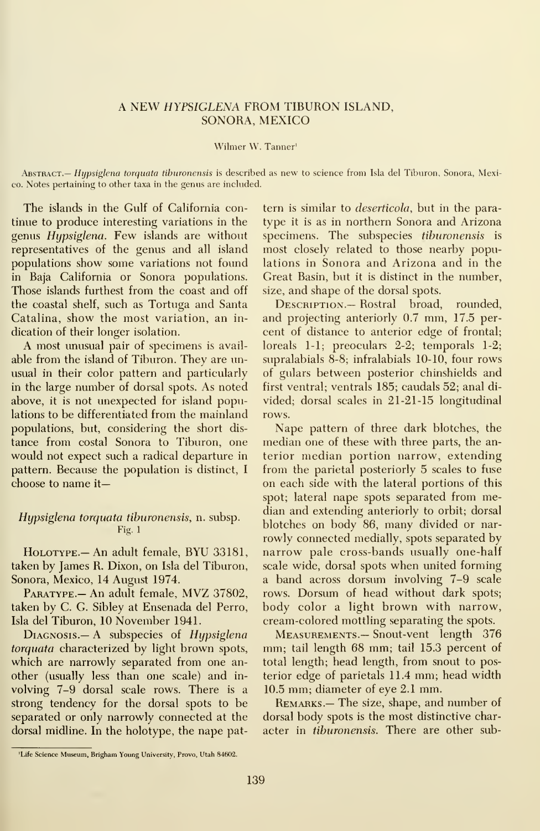# A NEW HYPSIGLENA FROM TIBURON ISLAND, SONORA, MEXICO

#### Wilmer W. Tanner'

Abstract.— Hypsiglena torquata tiburonensis is described as new to science from Isla del Tiburon, Sonora, Mexico. Notes pertaining to other taxa in the genus are inchided.

The islands in the Gulf of California continue to produce interesting variations in the genus Hypsiglena. Few islands are without representatives of the genus and all island populations show some variations not found in Baja California or Sonora populations. Those islands furthest from the coast and off the coastal shelf, such as Tortuga and Santa Catalina, show the most variation, an in dication of their longer isolation.

A most unusual pair of specimens is avail able from the island of Tiburon. They are unusual in their color pattern and particularly in the large number of dorsal spots. As noted above, it is not unexpected for island populations to be differentiated from the mainland populations, but, considering the short dis tance from costal Sonora to Tiburon, one would not expect such a radical departure in pattern. Because the population is distinct, <sup>I</sup> choose to name it—

## Hypsiglena torquata tiburonensis, n. subsp. Fig. <sup>1</sup>

HoLOTYPE.- An adult female, BYU 33181, taken by James R. Dixon, on Isla del Tiburon, Sonora, Mexico, 14 August 1974.

PARATYPE.- An adult female, MVZ 37802, taken by C. G. Sibley at Ensenada del Perro, Isla del Tiburon, 10 November 1941.

DIAGNOSIS.— A subspecies of Hypsiglena torquata characterized by light brown spots, which are narrowly separated from one an other (usually less than one scale) and in volving 7-9 dorsal scale rows. There is a strong tendency for the dorsal spots to be separated or only narrowly connected at the dorsal midline. In the holotype, the nape pattern is similar to deserticola, but in the para type it is as in northern Sonora and Arizona specimens. The subspecies tiburonensis is most closely related to those nearby populations in Sonora and Arizona and in the Great Basin, but it is distinct in the number, size, and shape of the dorsal spots.

DESCRIPTION.— Rostral broad, rounded, and projecting anteriorly 0.7 mm, 17.5 per cent of distance to anterior edge of frontal; loreals 1-1; preoculars 2-2; temporals 1-2; supralabials 8-8; infralabials 10-10, four rows of gulars between posterior chinshields and first ventral; ventrals 185; caudals 52; anal di vided; dorsal scales in 21-21-15 longitudinal rows.

Nape pattern of three dark blotches, the median one of these with three parts, the an terior median portion narrow, extending from the parietal posteriorly 5 scales to fuse on each side with the lateral portions of this spot; lateral nape spots separated from median and extending anteriorly to orbit; dorsal blotches on body 86, many divided or nar rowly connected medially, spots separated by narrow pale cross-bands usually one-half scale wide, dorsal spots when united forming a band across dorsum involving 7-9 scale rows. Dorsum of head without dark spots; body color a light brown with narrow, cream-colored mottling separating the spots.

Measurements.— Snout-vent length 376 mm; tail length 68 mm; tail 15.3 percent of total length; head length, from snout to posterior edge of parietals 11.4 mm; head width 10.5 mm; diameter of eye 2.1 mm.

REMARKS.— The size, shape, and number of dorsal body spots is the most distinctive char acter in tiburonensis. There are other sub-

<sup>&#</sup>x27;Life Science Museum, Brigham Young University, Provo, Utah 84602.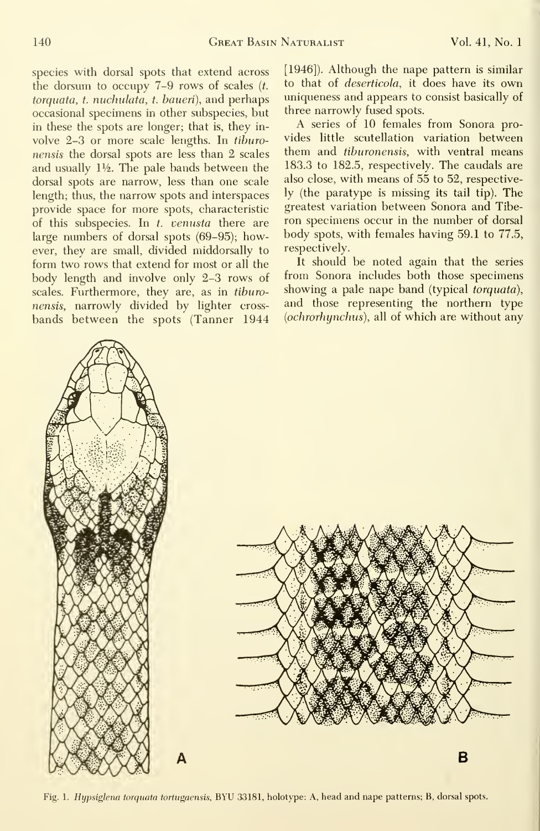species with dorsal spots that extend across the dorsum to occupy  $7-9$  rows of scales  $(t)$ . torquata, t. nuchulata, t. baueri), and perhaps occasional specimens in other subspecies, but in these the spots are longer; that is, they in volve  $2-3$  or more scale lengths. In tiburonensis the dorsal spots are less than 2 scales and usually  $1\frac{1}{2}$ . The pale bands between the dorsal spots are narrow, less than one scale length; thus, the narrow spots and interspaces provide space for more spots, characteristic of this subspecies. In  $t$ , venusta there are large numbers of dorsal spots (69-95); however, they are small, divided middorsally to form two rows that extend for most or all the body length and involve only 2-3 rows of scales. Furthermore, they are, as in tiburonensis, narrowly divided by lighter crossbands between the spots (Tanner 1944 [1946]). Although the nape pattern is similar to that of deserticola, it does have its own uniqueness and appears to consist basically of three narrowly fused spots.

A series of 10 females from Sonora provides little scutellation variation between them and tiburonensis, with ventral means 183.3 to 182.5, respectively. The caudals are also close, with means of 55 to 52, respectively (the paratype is missing its tail tip). The greatest variation between Sonora and Tibe ron specimens occur in the number of dorsal body spots, with females having 59.1 to 77.5, respectively.

It should be noted again that the series from Sonora includes both those specimens showing a pale nape band (typical *torquata*), and those representing the northern type (ochrorhynchus), all of which are without any





Fig. 1. Hypsiglena torquata tortugaensis, BYU 33181, holotype: A, head and nape patterns; B, dorsal spots.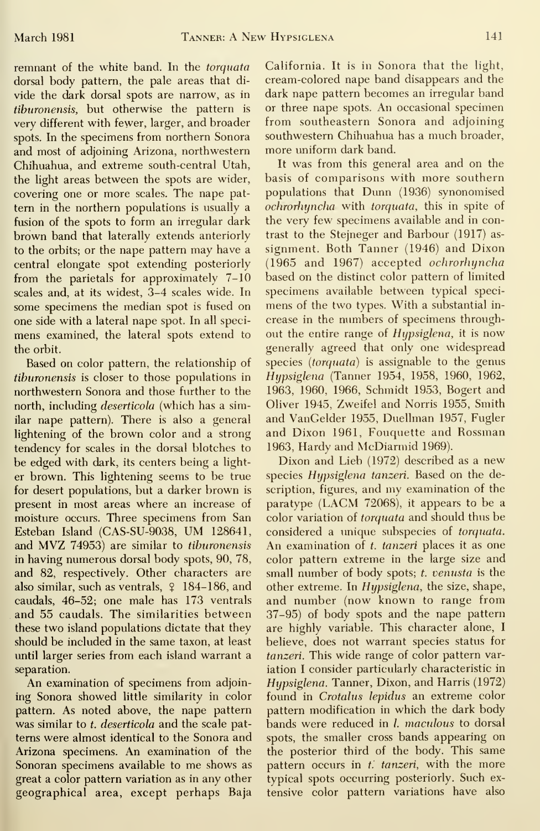remnant of the white band. In the torquata dorsal body pattern, the pale areas that di vide the dark dorsal spots are narrow, as in tiburonensis, but otherwise the pattern is very different with fewer, larger, and broader spots. In the specimens from northern Sonora and most of adjoining Arizona, northwestern Chihuahua, and extreme south-central Utah, the light areas between the spots are wider, covering one or more scales. The nape pat tern in the northern populations is usually a fusion of the spots to form an irregular dark brown band that laterally extends anteriorly to the orbits; or the nape pattern may have a central elongate spot extending posteriorly from the parietals for approximately 7-10 scales and, at its widest, 3-4 scales wide. In some specimens the median spot is fused on one side with a lateral nape spot. In all speci mens examined, the lateral spots extend to the orbit.

Based on color pattern, the relationship of tiburonensis is closer to those populations in northwestern Sonora and those further to the north, including *deserticola* (which has a similar nape pattern). There is also a general lightening of the brown color and a strong tendency for scales in the dorsal blotches to be edged with dark, its centers being a light er brown. This lightening seems to be true for desert populations, but a darker brown is present in most areas where an increase of moisture occurs. Three specimens from San Esteban Island (CAS-SU-9038, UM 128641, and MVZ 74953) are similar to tiburonensis in having numerous dorsal body spots, 90, 78, and 82, respectively. Other characters are also similar, such as ventrals,  $\frac{9}{7}$  184-186, and caudals, 46-52; one male has 173 ventrals and 55 caudals. The similarities between these two island populations dictate that they should be included in the same taxon, at least until larger series from each island warrant a separation.

An examination of specimens from adjoining Sonora showed little similarity in color pattern. As noted above, the nape pattern was similar to t. deserticola and the scale patterns were almost identical to the Sonora and Arizona specimens. An examination of the Sonoran specimens available to me shows as great a color pattern variation as in any other geographical area, except perhaps Baja

California. It is in Sonora that the light, cream-colored nape band disappears and the dark nape pattern becomes an irregular band or three nape spots. An occasional specimen from southeastern Sonora and adjoining southwestern Chihuahua has a much broader, more uniform dark band.

It was from this general area and on the basis of comparisons with more southern populations that Dunn (1936) synonomised ochrorhyncha with torquata, this in spite of the very few specimens available and in contrast to the Stejneger and Barbour (1917) as signment. Both Tanner (1946) and Dixon (1965 and 1967) accepted ochrorhyncha based on the distinct color pattern of limited specimens available between typical speci mens of the two types. With a substantial in crease in the numbers of specimens throughout the entire range of Hypsiglena, it is now generally agreed that only one widespread species *(torquata)* is assignable to the genus Hypsiglena (Tanner 1954, 1958, 1960, 1962, 1963, 1960, 1966, Schmidt 1953, Bogert and Oliver 1945, Zweifel and Norris 1955, Smith and VanCelder 1955, Duellman 1957, Fugler and Dixon 1961, Fouquette and Rossman 1963, Hardy and McDiarmid 1969).

Dixon and Lieb (1972) described as <sup>a</sup> new species Hypsiglena tanzeri. Based on the description, figures, and my examination of the paratype (LACM 72068), it appears to be <sup>a</sup> color variation of torquata and should thus be considered a unique subspecies of torquata. An examination of t. tanzeri places it as one color pattern extreme in the large size and small number of body spots; t. venusta is the other extreme. In Hypsiglena, the size, shape, and number (now known to range from 37-95) of body spots and the nape pattern are highly variable. This character alone, <sup>I</sup> believe, does not warrant species status for tanzeri. This wide range of color pattern variation <sup>I</sup> consider particularly characteristic in Hypsiglena. Tanner, Dixon, and Harris (1972) found in Crotalus lepidus an extreme color pattern modification in which the dark body bands were reduced in *l. maculous* to dorsal spots, the smaller cross bands appearing on the posterior third of the body. This same pattern occurs in  $t$ . tanzeri, with the more typical spots occurring posteriorly. Such ex tensive color pattern variations have also